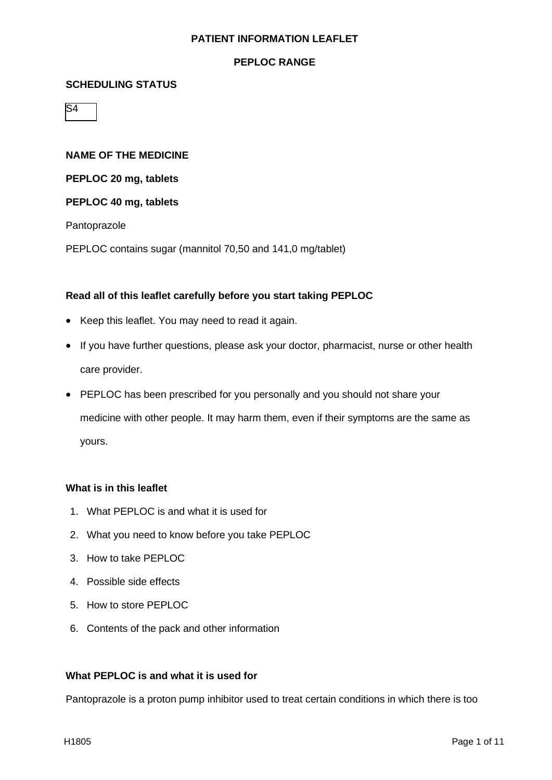### **PEPLOC RANGE**

#### **SCHEDULING STATUS**

 $\overline{\mathsf{S}4}$ 

**NAME OF THE MEDICINE**

**PEPLOC 20 mg, tablets**

#### **PEPLOC 40 mg, tablets**

Pantoprazole

PEPLOC contains sugar (mannitol 70,50 and 141,0 mg/tablet)

# **Read all of this leaflet carefully before you start taking PEPLOC**

- Keep this leaflet. You may need to read it again.
- If you have further questions, please ask your doctor, pharmacist, nurse or other health care provider.
- PEPLOC has been prescribed for you personally and you should not share your medicine with other people. It may harm them, even if their symptoms are the same as yours.

#### **What is in this leaflet**

- 1. What PEPLOC is and what it is used for
- 2. What you need to know before you take PEPLOC
- 3. How to take PEPLOC
- 4. Possible side effects
- 5. How to store PEPLOC
- 6. Contents of the pack and other information

# **What PEPLOC is and what it is used for**

Pantoprazole is a proton pump inhibitor used to treat certain conditions in which there is too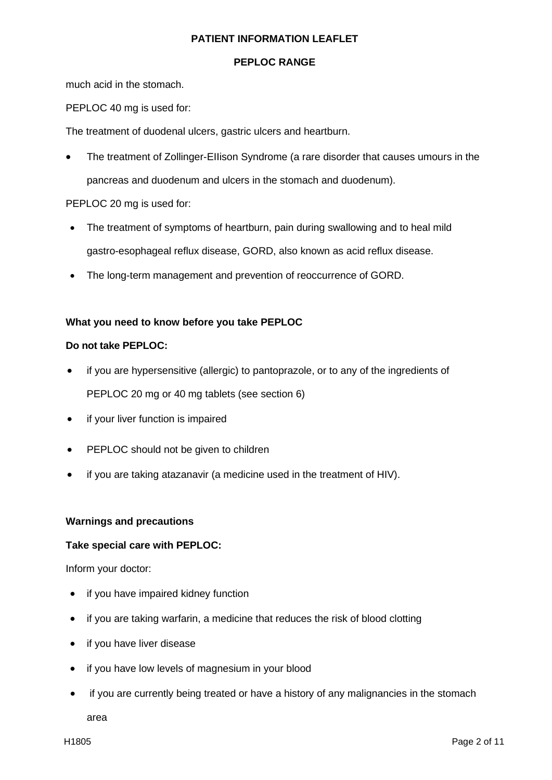# **PEPLOC RANGE**

much acid in the stomach.

PEPLOC 40 mg is used for:

The treatment of duodenal ulcers, gastric ulcers and heartburn.

• The treatment of Zollinger-EIIison Syndrome (a rare disorder that causes umours in the pancreas and duodenum and ulcers in the stomach and duodenum).

# PEPLOC 20 mg is used for:

- The treatment of symptoms of heartburn, pain during swallowing and to heal mild gastro-esophageal reflux disease, GORD, also known as acid reflux disease.
- The long-term management and prevention of reoccurrence of GORD.

# **What you need to know before you take PEPLOC**

# **Do not take PEPLOC:**

- if you are hypersensitive (allergic) to pantoprazole, or to any of the ingredients of PEPLOC 20 mg or 40 mg tablets (see section 6)
- if your liver function is impaired
- PEPLOC should not be given to children
- if you are taking atazanavir (a medicine used in the treatment of HIV).

# **Warnings and precautions**

# **Take special care with PEPLOC:**

Inform your doctor:

- if you have impaired kidney function
- if you are taking warfarin, a medicine that reduces the risk of blood clotting
- if you have liver disease
- if you have low levels of magnesium in your blood
- if you are currently being treated or have a history of any malignancies in the stomach

area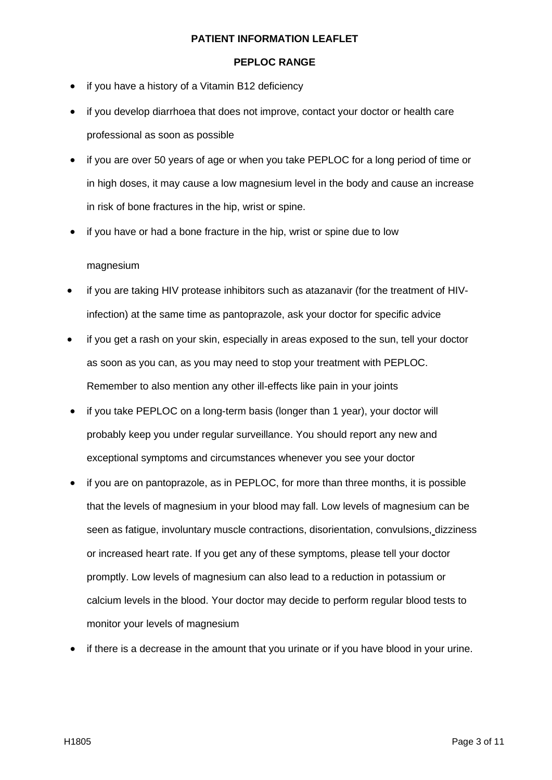#### **PEPLOC RANGE**

- if you have a history of a Vitamin B12 deficiency
- if you develop diarrhoea that does not improve, contact your doctor or health care professional as soon as possible
- if you are over 50 years of age or when you take PEPLOC for a long period of time or in high doses, it may cause a low magnesium level in the body and cause an increase in risk of bone fractures in the hip, wrist or spine.
- if you have or had a bone fracture in the hip, wrist or spine due to low

# magnesium

- if you are taking HIV protease inhibitors such as atazanavir (for the treatment of HIVinfection) at the same time as pantoprazole, ask your doctor for specific advice
- if you get a rash on your skin, especially in areas exposed to the sun, tell your doctor as soon as you can, as you may need to stop your treatment with PEPLOC. Remember to also mention any other ill-effects like pain in your joints
- if you take PEPLOC on a long-term basis (longer than 1 year), your doctor will probably keep you under regular surveillance. You should report any new and exceptional symptoms and circumstances whenever you see your doctor
- if you are on pantoprazole, as in PEPLOC, for more than three months, it is possible that the levels of magnesium in your blood may fall. Low levels of magnesium can be seen as fatigue, involuntary muscle contractions, disorientation, convulsions, dizziness or increased heart rate. If you get any of these symptoms, please tell your doctor promptly. Low levels of magnesium can also lead to a reduction in potassium or calcium levels in the blood. Your doctor may decide to perform regular blood tests to monitor your levels of magnesium
- if there is a decrease in the amount that you urinate or if you have blood in your urine.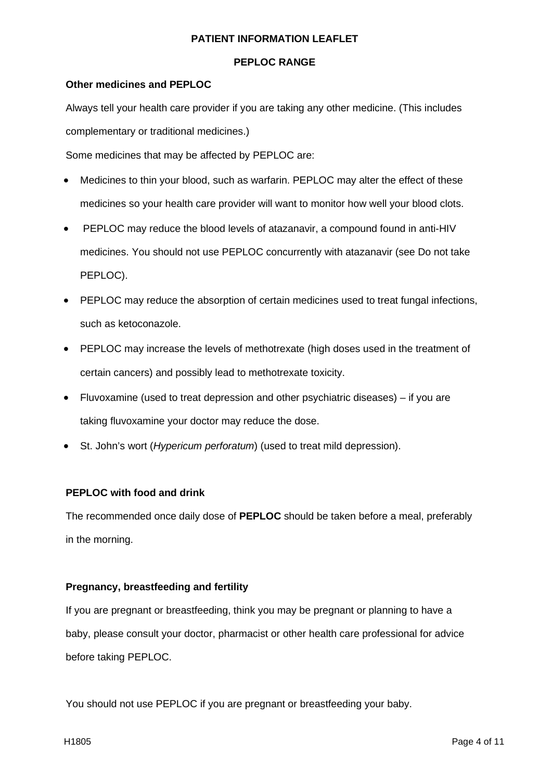# **PEPLOC RANGE**

# **Other medicines and PEPLOC**

Always tell your health care provider if you are taking any other medicine. (This includes complementary or traditional medicines.)

Some medicines that may be affected by PEPLOC are:

- Medicines to thin your blood, such as warfarin. PEPLOC may alter the effect of these medicines so your health care provider will want to monitor how well your blood clots.
- PEPLOC may reduce the blood levels of atazanavir, a compound found in anti-HIV medicines. You should not use PEPLOC concurrently with atazanavir (see Do not take PEPLOC).
- PEPLOC may reduce the absorption of certain medicines used to treat fungal infections, such as ketoconazole.
- PEPLOC may increase the levels of methotrexate (high doses used in the treatment of certain cancers) and possibly lead to methotrexate toxicity.
- Fluvoxamine (used to treat depression and other psychiatric diseases) if you are taking fluvoxamine your doctor may reduce the dose.
- St. John's wort (*Hypericum perforatum*) (used to treat mild depression).

# **PEPLOC with food and drink**

The recommended once daily dose of **PEPLOC** should be taken before a meal, preferably in the morning.

# **Pregnancy, breastfeeding and fertility**

If you are pregnant or breastfeeding, think you may be pregnant or planning to have a baby, please consult your doctor, pharmacist or other health care professional for advice before taking PEPLOC.

You should not use PEPLOC if you are pregnant or breastfeeding your baby.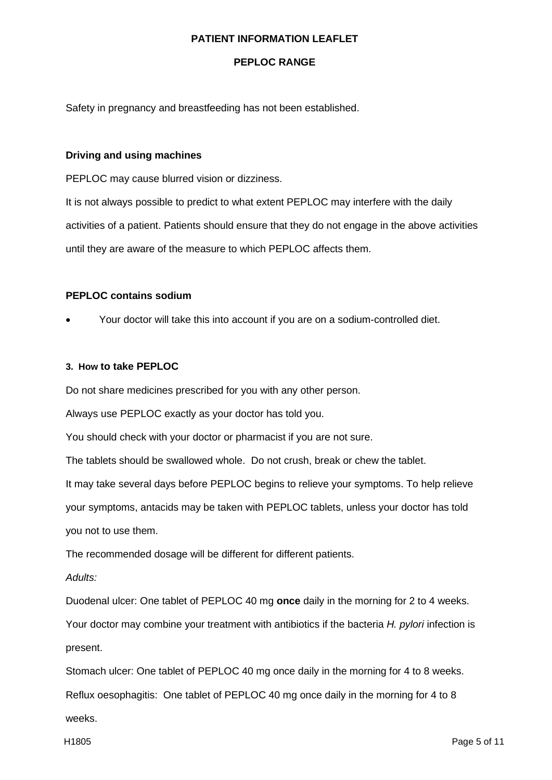### **PEPLOC RANGE**

Safety in pregnancy and breastfeeding has not been established.

#### **Driving and using machines**

PEPLOC may cause blurred vision or dizziness.

It is not always possible to predict to what extent PEPLOC may interfere with the daily activities of a patient. Patients should ensure that they do not engage in the above activities until they are aware of the measure to which PEPLOC affects them.

### **PEPLOC contains sodium**

• Your doctor will take this into account if you are on a sodium-controlled diet.

#### **3. How to take PEPLOC**

Do not share medicines prescribed for you with any other person.

Always use PEPLOC exactly as your doctor has told you.

You should check with your doctor or pharmacist if you are not sure.

The tablets should be swallowed whole. Do not crush, break or chew the tablet.

It may take several days before PEPLOC begins to relieve your symptoms. To help relieve your symptoms, antacids may be taken with PEPLOC tablets, unless your doctor has told

you not to use them.

The recommended dosage will be different for different patients.

*Adults:*

Duodenal ulcer: One tablet of PEPLOC 40 mg **once** daily in the morning for 2 to 4 weeks.

Your doctor may combine your treatment with antibiotics if the bacteria *H. pylori* infection is

present.

Stomach ulcer: One tablet of PEPLOC 40 mg once daily in the morning for 4 to 8 weeks. Reflux oesophagitis: One tablet of PEPLOC 40 mg once daily in the morning for 4 to 8 weeks.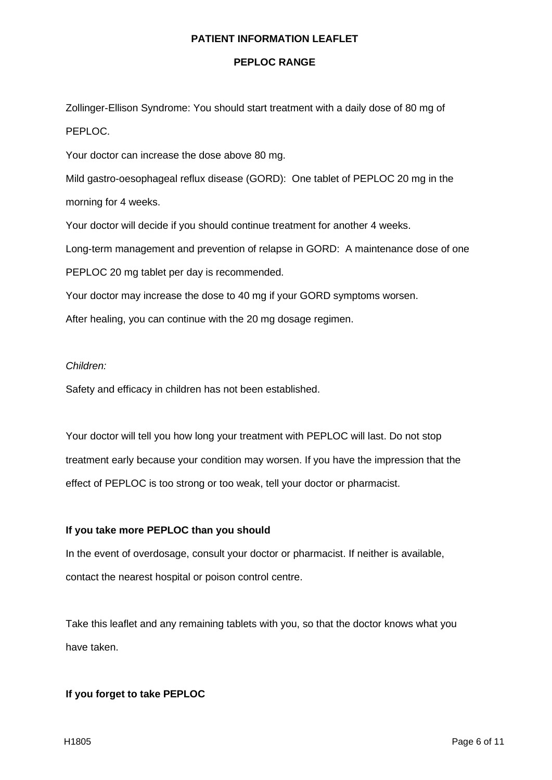#### **PEPLOC RANGE**

Zollinger-Ellison Syndrome: You should start treatment with a daily dose of 80 mg of PEPLOC.

Your doctor can increase the dose above 80 mg.

Mild gastro-oesophageal reflux disease (GORD): One tablet of PEPLOC 20 mg in the morning for 4 weeks.

Your doctor will decide if you should continue treatment for another 4 weeks.

Long-term management and prevention of relapse in GORD: A maintenance dose of one

PEPLOC 20 mg tablet per day is recommended.

Your doctor may increase the dose to 40 mg if your GORD symptoms worsen.

After healing, you can continue with the 20 mg dosage regimen.

# *Children:*

Safety and efficacy in children has not been established.

Your doctor will tell you how long your treatment with PEPLOC will last. Do not stop treatment early because your condition may worsen. If you have the impression that the effect of PEPLOC is too strong or too weak, tell your doctor or pharmacist.

# **If you take more PEPLOC than you should**

In the event of overdosage, consult your doctor or pharmacist. If neither is available, contact the nearest hospital or poison control centre.

Take this leaflet and any remaining tablets with you, so that the doctor knows what you have taken.

# **If you forget to take PEPLOC**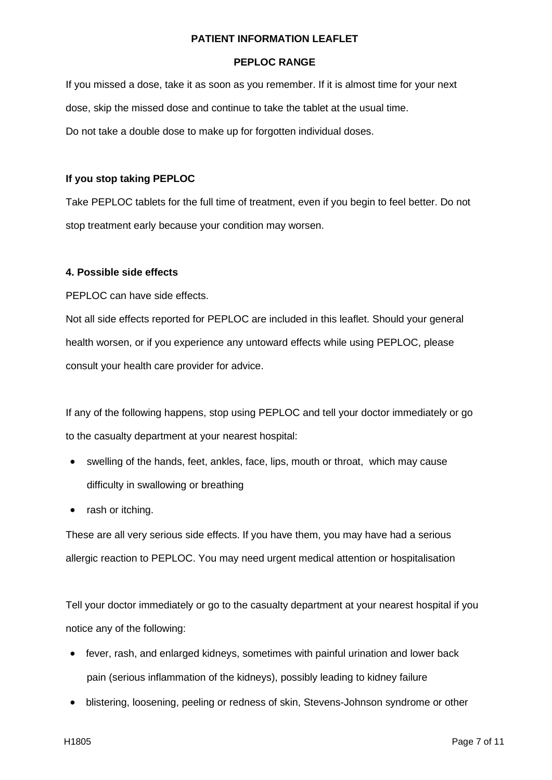#### **PEPLOC RANGE**

If you missed a dose, take it as soon as you remember. If it is almost time for your next dose, skip the missed dose and continue to take the tablet at the usual time. Do not take a double dose to make up for forgotten individual doses.

# **If you stop taking PEPLOC**

Take PEPLOC tablets for the full time of treatment, even if you begin to feel better. Do not stop treatment early because your condition may worsen.

#### **4. Possible side effects**

PEPLOC can have side effects.

Not all side effects reported for PEPLOC are included in this leaflet. Should your general health worsen, or if you experience any untoward effects while using PEPLOC, please consult your health care provider for advice.

If any of the following happens, stop using PEPLOC and tell your doctor immediately or go to the casualty department at your nearest hospital:

- swelling of the hands, feet, ankles, face, lips, mouth or throat, which may cause difficulty in swallowing or breathing
- rash or itching.

These are all very serious side effects. If you have them, you may have had a serious allergic reaction to PEPLOC. You may need urgent medical attention or hospitalisation

Tell your doctor immediately or go to the casualty department at your nearest hospital if you notice any of the following:

- fever, rash, and enlarged kidneys, sometimes with painful urination and lower back pain (serious inflammation of the kidneys), possibly leading to kidney failure
- blistering, loosening, peeling or redness of skin, Stevens-Johnson syndrome or other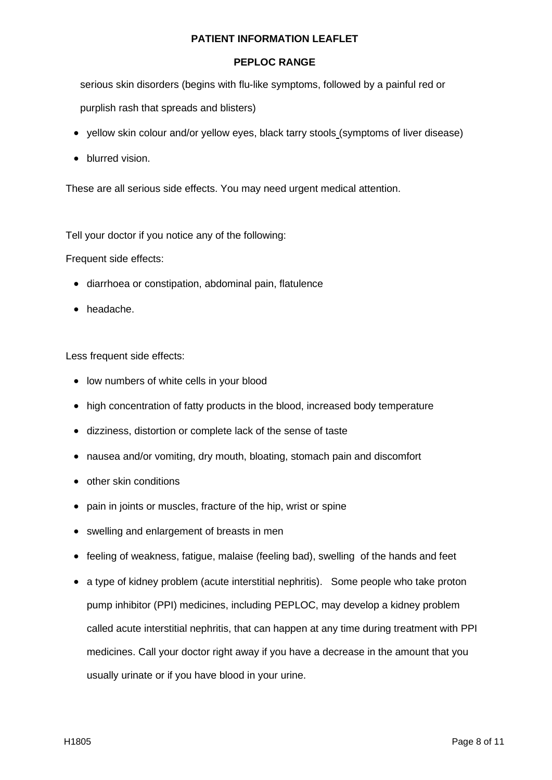### **PEPLOC RANGE**

serious skin disorders (begins with flu-like symptoms, followed by a painful red or purplish rash that spreads and blisters)

- yellow skin colour and/or yellow eyes, black tarry stools (symptoms of liver disease)
- blurred vision.

These are all serious side effects. You may need urgent medical attention.

Tell your doctor if you notice any of the following:

Frequent side effects:

- diarrhoea or constipation, abdominal pain, flatulence
- headache.

Less frequent side effects:

- low numbers of white cells in your blood
- high concentration of fatty products in the blood, increased body temperature
- dizziness, distortion or complete lack of the sense of taste
- nausea and/or vomiting, dry mouth, bloating, stomach pain and discomfort
- other skin conditions
- pain in joints or muscles, fracture of the hip, wrist or spine
- swelling and enlargement of breasts in men
- feeling of weakness, fatigue, malaise (feeling bad), swelling of the hands and feet
- a type of kidney problem (acute interstitial nephritis). Some people who take proton pump inhibitor (PPI) medicines, including PEPLOC, may develop a kidney problem called acute interstitial nephritis, that can happen at any time during treatment with PPI medicines. Call your doctor right away if you have a decrease in the amount that you usually urinate or if you have blood in your urine.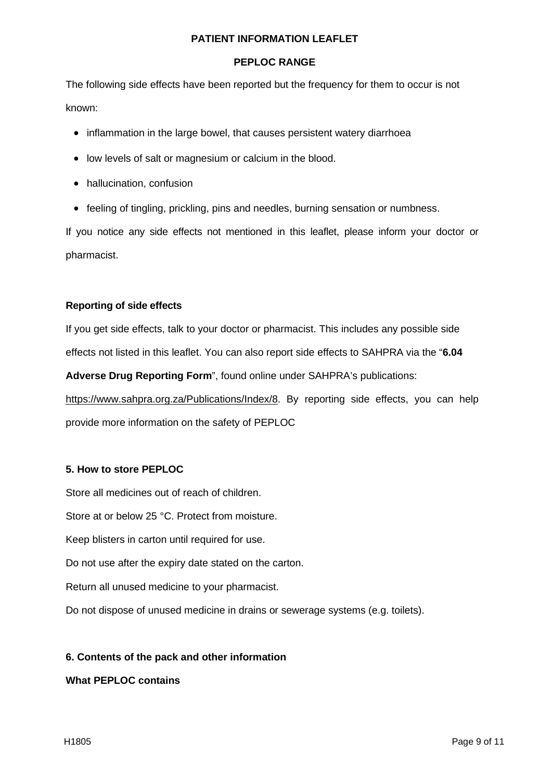### **PEPLOC RANGE**

The following side effects have been reported but the frequency for them to occur is not known:

- inflammation in the large bowel, that causes persistent watery diarrhoea
- low levels of salt or magnesium or calcium in the blood.
- hallucination, confusion
- feeling of tingling, prickling, pins and needles, burning sensation or numbness.

If you notice any side effects not mentioned in this leaflet, please inform your doctor or pharmacist.

# **Reporting of side effects**

If you get side effects, talk to your doctor or pharmacist. This includes any possible side effects not listed in this leaflet. You can also report side effects to SAHPRA via the "**6.04** 

**Adverse Drug Reporting Form**", found online under SAHPRA's publications:

[https://www.sahpra.org.za/Publications/Index/8.](https://www.sahpra.org.za/Publications/Index/8) By reporting side effects, you can help provide more information on the safety of PEPLOC

# **5. How to store PEPLOC**

Store all medicines out of reach of children. Store at or below 25 °C. Protect from moisture. Keep blisters in carton until required for use. Do not use after the expiry date stated on the carton. Return all unused medicine to your pharmacist. Do not dispose of unused medicine in drains or sewerage systems (e.g. toilets).

# **6. Contents of the pack and other information**

# **What PEPLOC contains**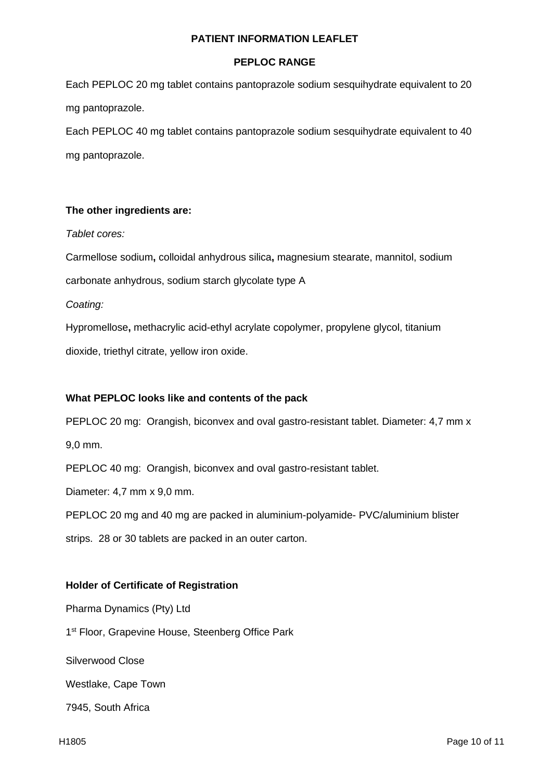### **PEPLOC RANGE**

Each PEPLOC 20 mg tablet contains pantoprazole sodium sesquihydrate equivalent to 20 mg pantoprazole.

Each PEPLOC 40 mg tablet contains pantoprazole sodium sesquihydrate equivalent to 40 mg pantoprazole.

#### **The other ingredients are:**

*Tablet cores:*

Carmellose sodium**,** colloidal anhydrous silica**,** magnesium stearate, mannitol, sodium

carbonate anhydrous, sodium starch glycolate type A

*Coating:*

Hypromellose**,** methacrylic acid-ethyl acrylate copolymer, propylene glycol, titanium dioxide, triethyl citrate, yellow iron oxide.

# **What PEPLOC looks like and contents of the pack**

PEPLOC 20 mg:Orangish, biconvex and oval gastro-resistant tablet. Diameter: 4,7 mm x 9,0 mm.

PEPLOC 40 mg:Orangish, biconvex and oval gastro-resistant tablet.

Diameter: 4,7 mm x 9,0 mm.

PEPLOC 20 mg and 40 mg are packed in aluminium-polyamide- PVC/aluminium blister

strips. 28 or 30 tablets are packed in an outer carton.

# **Holder of Certificate of Registration**

Pharma Dynamics (Pty) Ltd 1<sup>st</sup> Floor, Grapevine House, Steenberg Office Park Silverwood Close Westlake, Cape Town 7945, South Africa